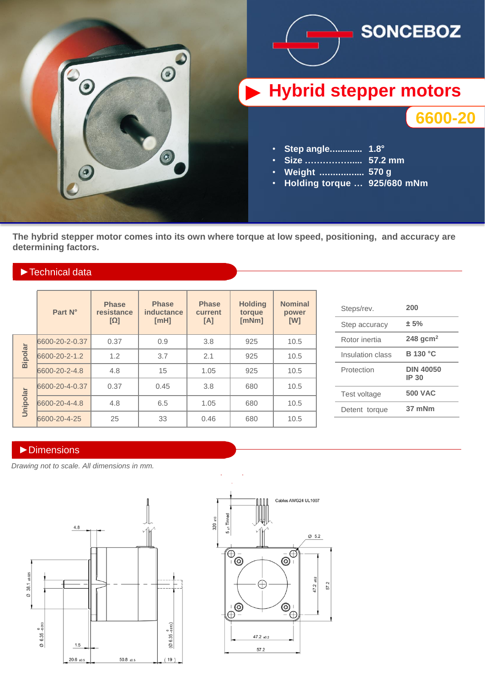

**The hybrid stepper motor comes into its own where torque at low speed, positioning, and accuracy are determining factors.** 

### ►Technical data

|  |                | Part N°        | <b>Phase</b><br>resistance<br>$[\Omega]$ | <b>Phase</b><br>inductance<br>[MH] | <b>Phase</b><br>current<br>[A] | <b>Holding</b><br>torque<br>[mNm] | <b>Nominal</b><br>power<br>[W] |
|--|----------------|----------------|------------------------------------------|------------------------------------|--------------------------------|-----------------------------------|--------------------------------|
|  | <b>Bipolar</b> | 6600-20-2-0.37 | 0.37                                     | 0.9                                | 3.8                            | 925                               | 10.5                           |
|  |                | 6600-20-2-1.2  | 1.2                                      | 3.7                                | 2.1                            | 925                               | 10.5                           |
|  |                | 6600-20-2-4.8  | 4.8                                      | 15                                 | 1.05                           | 925                               | 10.5                           |
|  | Unipolar       | 6600-20-4-0.37 | 0.37                                     | 0.45                               | 3.8                            | 680                               | 10.5                           |
|  |                | 6600-20-4-4.8  | 4.8                                      | 6.5                                | 1.05                           | 680                               | 10.5                           |
|  |                | 6600-20-4-25   | 25                                       | 33                                 | 0.46                           | 680                               | 10.5                           |

| Steps/rev.       | 200                       |  |  |
|------------------|---------------------------|--|--|
| Step accuracy    | ± 5%                      |  |  |
| Rotor inertia    | 248 gcm <sup>2</sup>      |  |  |
| Insulation class | <b>B</b> 130 °C           |  |  |
| Protection       | <b>DIN 40050</b><br>IP 30 |  |  |
| Test voltage     | <b>500 VAC</b>            |  |  |
| Detent torque    | 37 mNm                    |  |  |

#### ►Dimensions

*Drawing not to scale. All dimensions in mm.*



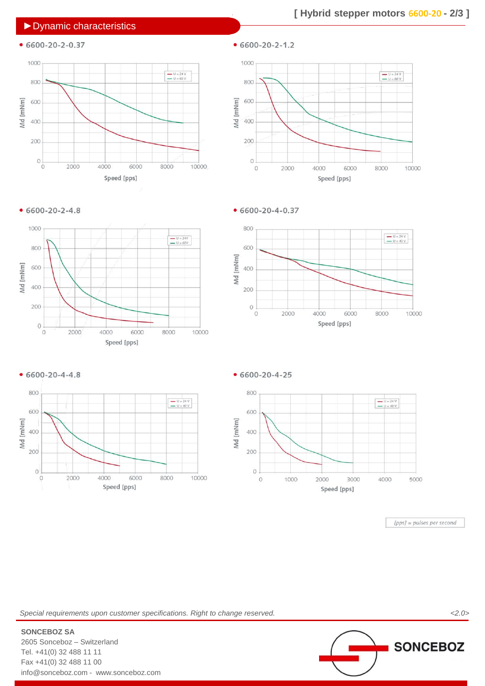### ►Dynamic characteristics

 $• 6600 - 20 - 2 - 0.37$ 



 $• 6600 - 20 - 2 - 1.2$ 



 $• 6600 - 20 - 2 - 4.8$ 



 $• 6600 - 20 - 4 - 0.37$ 







 $• 6600 - 20 - 4 - 25$ 



 $[pps] = pulses per second$ 

*Special requirements upon customer specifications. Right to change reserved. <2.0>*



**SONCEBOZ** 

**SONCEBOZ SA** 2605 Sonceboz – Switzerland Tel. +41(0) 32 488 11 11 Fax +41(0) 32 488 11 00 info@sonceboz.com - www.sonceboz.com